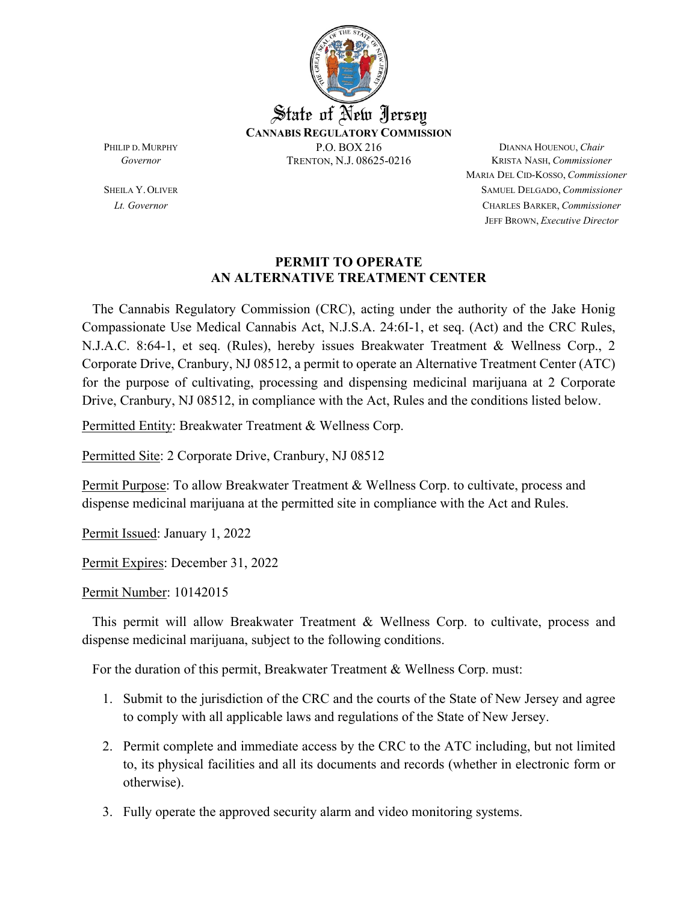

MARIA DEL CID-KOSSO, *Commissioner* SHEILA Y.OLIVER SAMUEL DELGADO, *Commissioner Lt. Governor* CHARLES BARKER, *Commissioner* JEFF BROWN, *Executive Director*

#### **PERMIT TO OPERATE AN ALTERNATIVE TREATMENT CENTER**

 The Cannabis Regulatory Commission (CRC), acting under the authority of the Jake Honig Compassionate Use Medical Cannabis Act, N.J.S.A. 24:6I-1, et seq. (Act) and the CRC Rules, N.J.A.C. 8:64-1, et seq. (Rules), hereby issues Breakwater Treatment & Wellness Corp., 2 Corporate Drive, Cranbury, NJ 08512, a permit to operate an Alternative Treatment Center (ATC) for the purpose of cultivating, processing and dispensing medicinal marijuana at 2 Corporate Drive, Cranbury, NJ 08512, in compliance with the Act, Rules and the conditions listed below.

Permitted Entity: Breakwater Treatment & Wellness Corp.

Permitted Site: 2 Corporate Drive, Cranbury, NJ 08512

Permit Purpose: To allow Breakwater Treatment & Wellness Corp. to cultivate, process and dispense medicinal marijuana at the permitted site in compliance with the Act and Rules.

Permit Issued: January 1, 2022

Permit Expires: December 31, 2022

Permit Number: 10142015

This permit will allow Breakwater Treatment & Wellness Corp. to cultivate, process and dispense medicinal marijuana, subject to the following conditions.

For the duration of this permit, Breakwater Treatment & Wellness Corp. must:

- 1. Submit to the jurisdiction of the CRC and the courts of the State of New Jersey and agree to comply with all applicable laws and regulations of the State of New Jersey.
- 2. Permit complete and immediate access by the CRC to the ATC including, but not limited to, its physical facilities and all its documents and records (whether in electronic form or otherwise).
- 3. Fully operate the approved security alarm and video monitoring systems.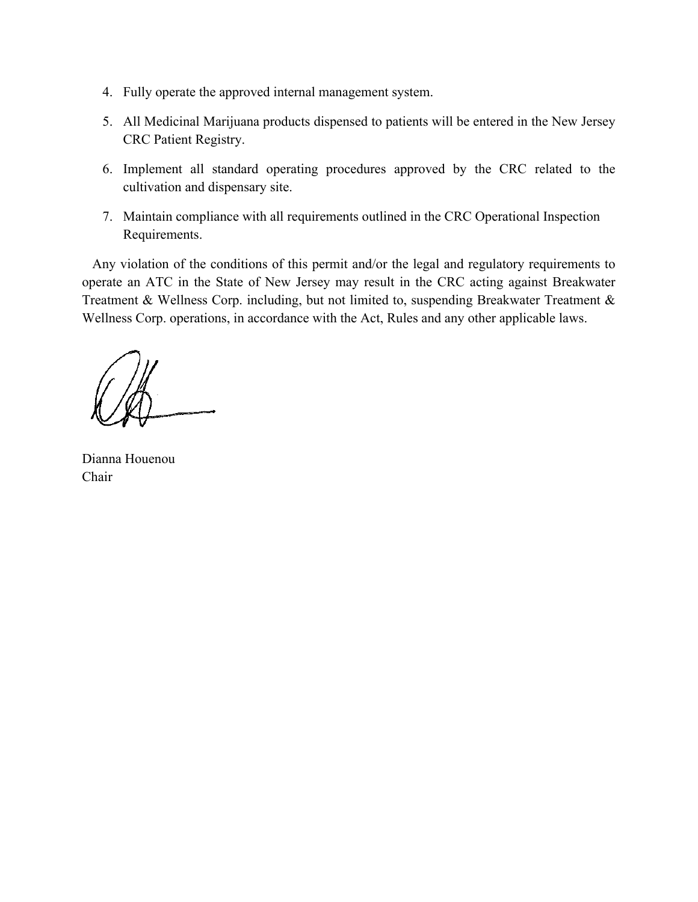- 4. Fully operate the approved internal management system.
- 5. All Medicinal Marijuana products dispensed to patients will be entered in the New Jersey CRC Patient Registry.
- 6. Implement all standard operating procedures approved by the CRC related to the cultivation and dispensary site.
- 7. Maintain compliance with all requirements outlined in the CRC Operational Inspection Requirements.

 Any violation of the conditions of this permit and/or the legal and regulatory requirements to operate an ATC in the State of New Jersey may result in the CRC acting against Breakwater Treatment & Wellness Corp. including, but not limited to, suspending Breakwater Treatment & Wellness Corp. operations, in accordance with the Act, Rules and any other applicable laws.

Dianna Houenou Chair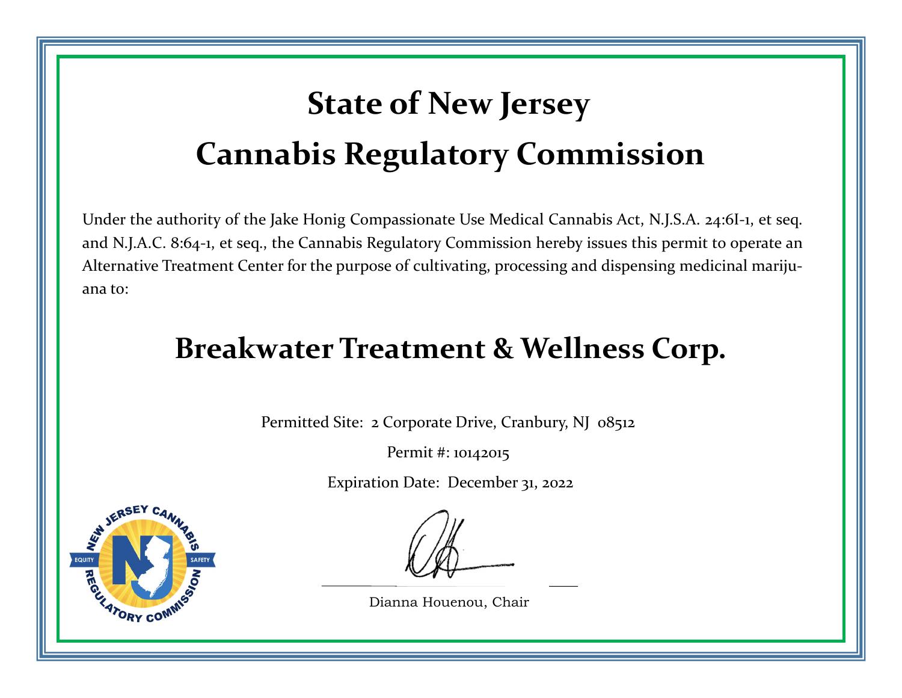## **State of New Jersey Cannabis Regulatory Commission**

Under the authority of the Jake Honig Compassionate Use Medical Cannabis Act, N.J.S.A. 24:6I‐1, et seq. and N.J.A.C. 8:64‐1, et seq., the Cannabis Regulatory Commission hereby issues this permit to operate an Alternative Treatment Center for the purpose of cultivating, processing and dispensing medicinal mariju‐ ana to:

### **Breakwater Treatment & Wellness Corp.**

Permitted Site: 2 Corporate Drive, Cranbury, NJ 08512

Permit #: 10142015

Expiration Date: December 31, 2022



Dianna Houenou, Chair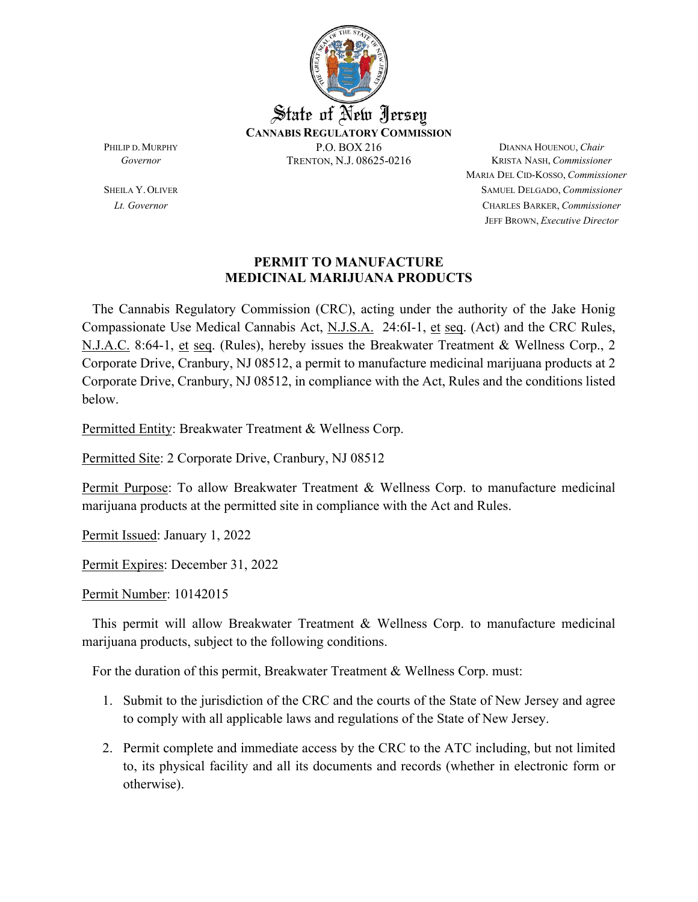

MARIA DEL CID-KOSSO, *Commissioner* SHEILA Y.OLIVER SAMUEL DELGADO, *Commissioner Lt. Governor* CHARLES BARKER, *Commissioner* JEFF BROWN, *Executive Director*

#### **PERMIT TO MANUFACTURE MEDICINAL MARIJUANA PRODUCTS**

 The Cannabis Regulatory Commission (CRC), acting under the authority of the Jake Honig Compassionate Use Medical Cannabis Act, N.J.S.A. 24:6I-1, et seq. (Act) and the CRC Rules, N.J.A.C. 8:64-1, et seq. (Rules), hereby issues the Breakwater Treatment & Wellness Corp., 2 Corporate Drive, Cranbury, NJ 08512, a permit to manufacture medicinal marijuana products at 2 Corporate Drive, Cranbury, NJ 08512, in compliance with the Act, Rules and the conditions listed below.

Permitted Entity: Breakwater Treatment & Wellness Corp.

Permitted Site: 2 Corporate Drive, Cranbury, NJ 08512

Permit Purpose: To allow Breakwater Treatment & Wellness Corp. to manufacture medicinal marijuana products at the permitted site in compliance with the Act and Rules.

Permit Issued: January 1, 2022

Permit Expires: December 31, 2022

Permit Number: 10142015

 This permit will allow Breakwater Treatment & Wellness Corp. to manufacture medicinal marijuana products, subject to the following conditions.

For the duration of this permit, Breakwater Treatment & Wellness Corp. must:

- 1. Submit to the jurisdiction of the CRC and the courts of the State of New Jersey and agree to comply with all applicable laws and regulations of the State of New Jersey.
- 2. Permit complete and immediate access by the CRC to the ATC including, but not limited to, its physical facility and all its documents and records (whether in electronic form or otherwise).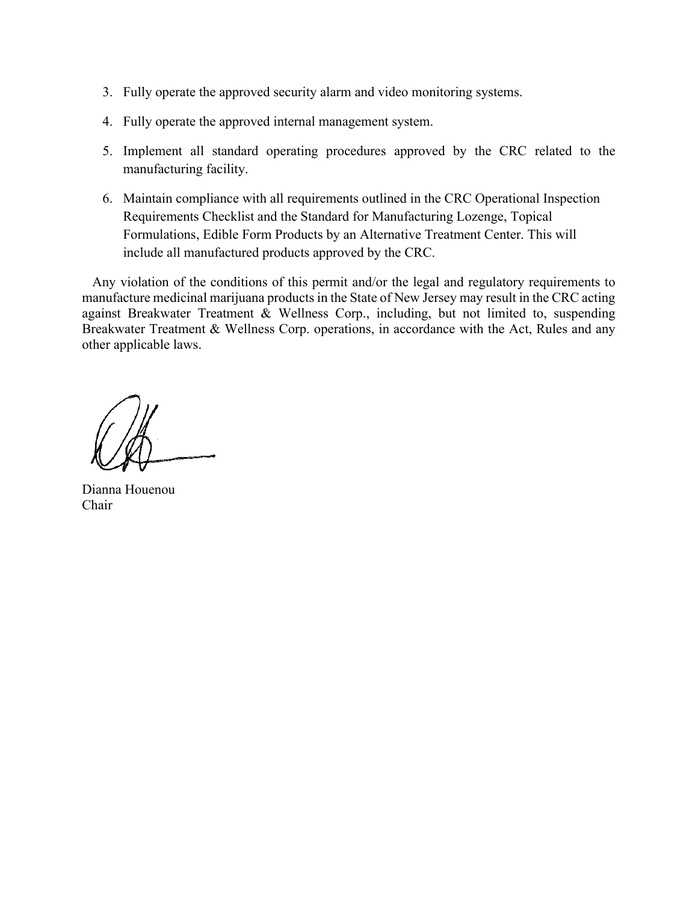- 3. Fully operate the approved security alarm and video monitoring systems.
- 4. Fully operate the approved internal management system.
- 5. Implement all standard operating procedures approved by the CRC related to the manufacturing facility.
- 6. Maintain compliance with all requirements outlined in the CRC Operational Inspection Requirements Checklist and the Standard for Manufacturing Lozenge, Topical Formulations, Edible Form Products by an Alternative Treatment Center. This will include all manufactured products approved by the CRC.

 Any violation of the conditions of this permit and/or the legal and regulatory requirements to manufacture medicinal marijuana products in the State of New Jersey may result in the CRC acting against Breakwater Treatment & Wellness Corp., including, but not limited to, suspending Breakwater Treatment & Wellness Corp. operations, in accordance with the Act, Rules and any other applicable laws.

Dianna Houenou Chair